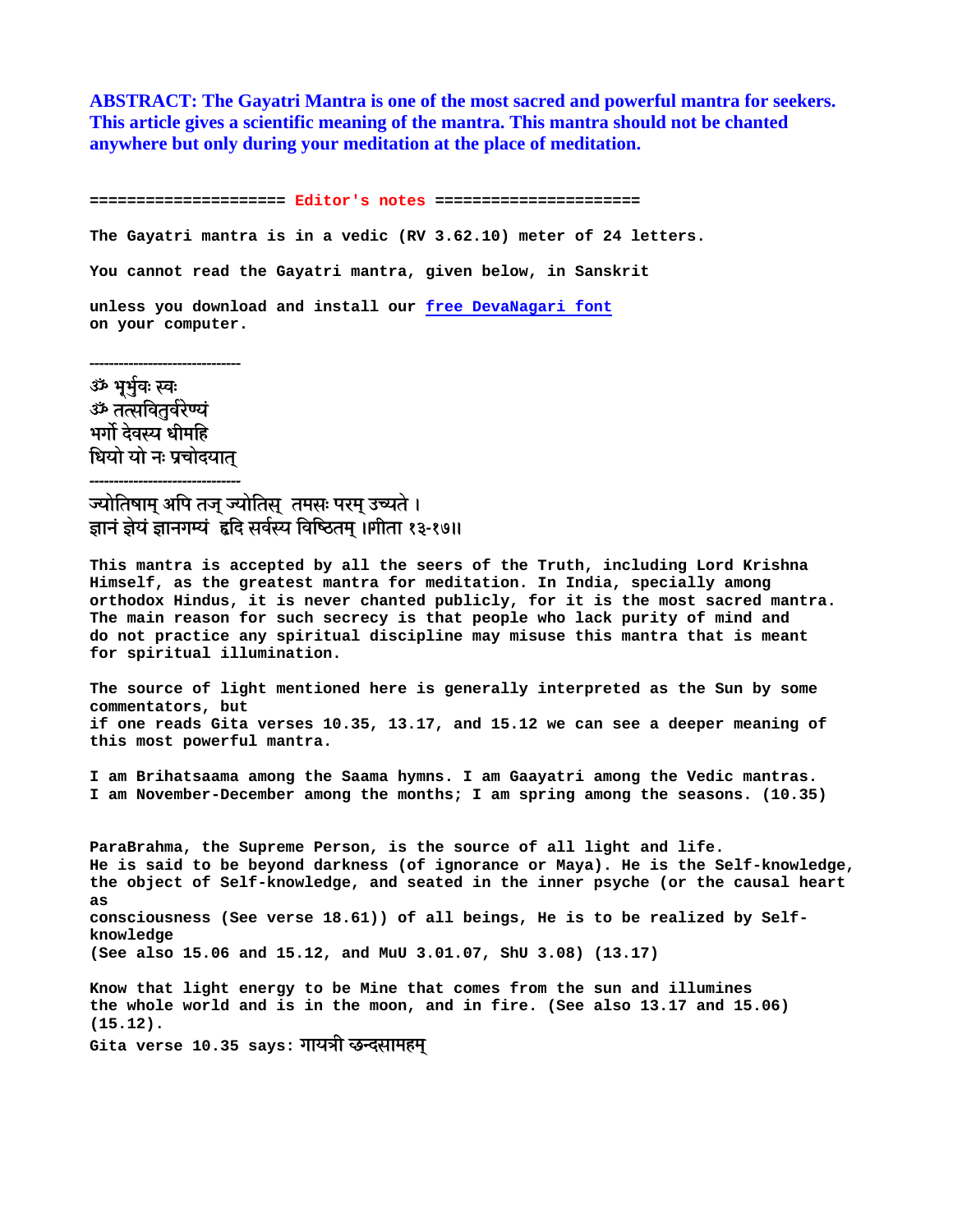**ABSTRACT: The Gayatri Mantra is one of the most sacred and powerful mantra for seekers. This article gives a scientific meaning of the mantra. This mantra should not be chanted anywhere but only during your meditation at the place of meditation.** 

**===================== Editor's notes ====================== The Gayatri mantra is in a vedic (RV 3.62.10) meter of 24 letters. You cannot read the Gayatri mantra, given below, in Sanskrit unless you download and install our free DevaNagari font on your computer.** 

ॐ भूर्भुवः स्वः ॐ तत्सवितर्वरेण्यं भर्गो देवस्य धीमहि धियो यो नः प्रचोदयात -------------------------------

-------------------------------

## ज्योतिषाम् अपि तज् ज्योतिस् तमसः परम् उच्यते । ज्ञानं ज्ञेयं ज्ञानगम्यं हृदि सर्वस्य विष्ठितम् ।।गीता १३-१७॥

**This mantra is accepted by all the seers of the Truth, including Lord Krishna Himself, as the greatest mantra for meditation. In India, specially among orthodox Hindus, it is never chanted publicly, for it is the most sacred mantra. The main reason for such secrecy is that people who lack purity of mind and do not practice any spiritual discipline may misuse this mantra that is meant for spiritual illumination.** 

**The source of light mentioned here is generally interpreted as the Sun by some commentators, but if one reads Gita verses 10.35, 13.17, and 15.12 we can see a deeper meaning of this most powerful mantra.** 

**I am Brihatsaama among the Saama hymns. I am Gaayatri among the Vedic mantras. I am November-December among the months; I am spring among the seasons. (10.35)** 

**ParaBrahma, the Supreme Person, is the source of all light and life. He is said to be beyond darkness (of ignorance or Maya). He is the Self-knowledge, the object of Self-knowledge, and seated in the inner psyche (or the causal heart as consciousness (See verse 18.61)) of all beings, He is to be realized by Selfknowledge (See also 15.06 and 15.12, and MuU 3.01.07, ShU 3.08) (13.17)** 

**Know that light energy to be Mine that comes from the sun and illumines the whole world and is in the moon, and in fire. (See also 13.17 and 15.06) (15.12).** 

Gita verse 10.35 says: **गायत्री छन्दसामहम्**